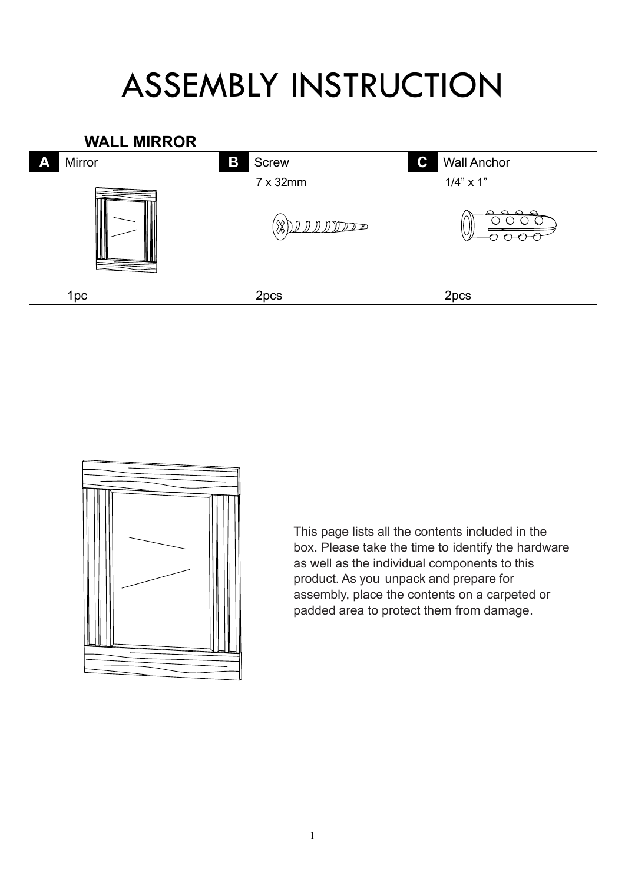## ASSEMBLY INSTRUCTION





This page lists all the contents included in the box. Please take the time to identify the hardware as well as the individual components to this product. As you unpack and prepare for assembly, place the contents on a carpeted or padded area to protect them from damage.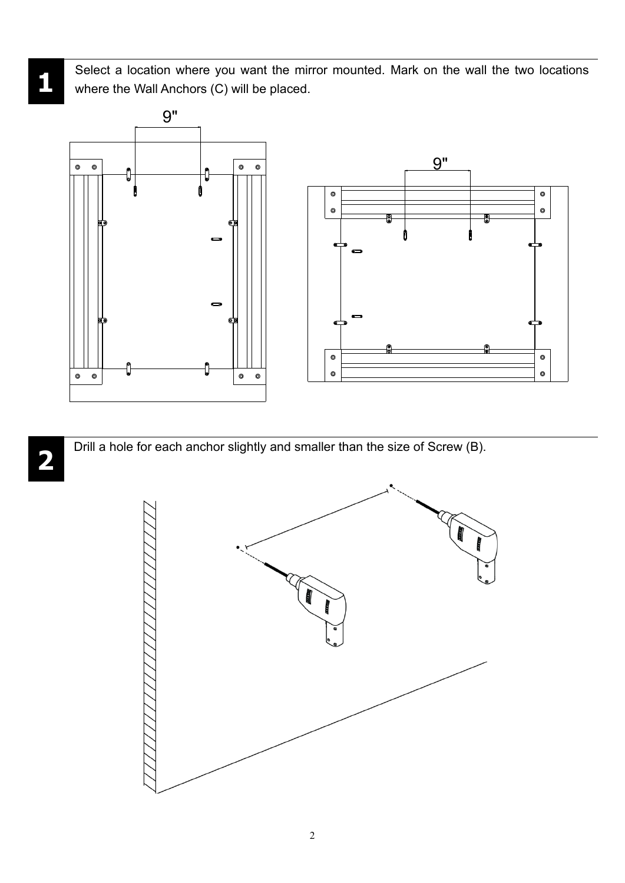Select a location where you want the mirror mounted. Mark on the wall the two locations where the Wall Anchors (C) will be placed.



**2**